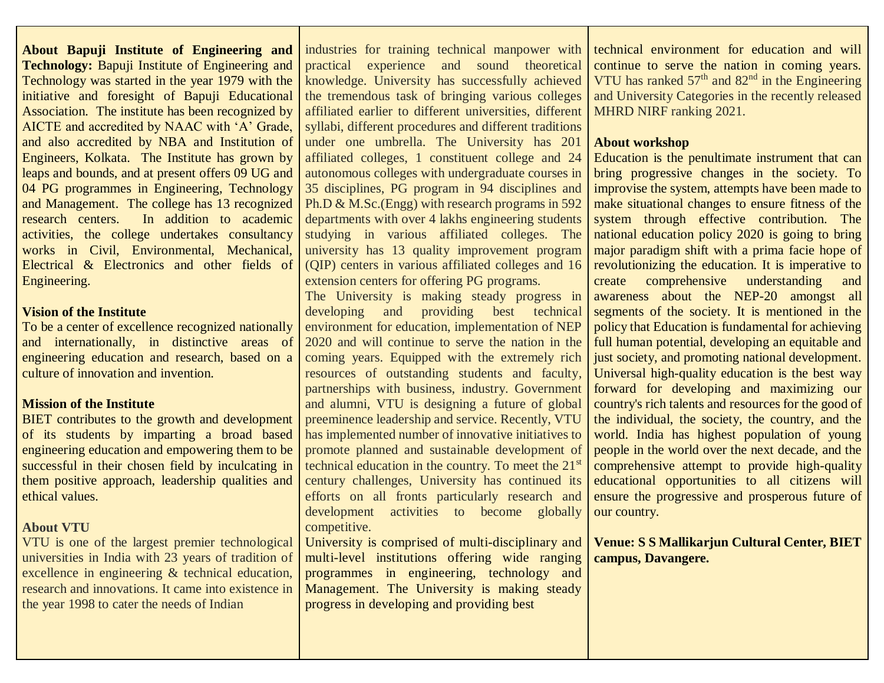**About Bapuji Institute of Engineering and Technology:** Bapuji Institute of Engineering and Technology was started in the year 1979 with the initiative and foresight of Bapuji Educational Association. The institute has been recognized by AICTE and accredited by NAAC with 'A' Grade, and also accredited by NBA and Institution of Engineers, Kolkata. The Institute has grown by leaps and bounds, and at present offers 09 UG and 04 PG programmes in Engineering, Technology and Management. The college has 13 recognized research centers. In addition to academic activities, the college undertakes consultancy works in Civil, Environmental, Mechanical, Electrical & Electronics and other fields of Engineering.

#### **Vision of the Institute**

To be a center of excellence recognized nationally and internationally, in distinctive areas of engineering education and research, based on a culture of innovation and invention.

#### **Mission of the Institute**

BIET contributes to the growth and development of its students by imparting a broad based engineering education and empowering them to be successful in their chosen field by inculcating in them positive approach, leadership qualities and ethical values.

#### **About VTU**

VTU is one of the largest premier technological universities in India with 23 years of tradition of excellence in engineering & technical education, research and innovations. It came into existence in the year 1998 to cater the needs of Indian

industries for training technical manpower with practical experience and sound theoretical knowledge. University has successfully achieved the tremendous task of bringing various colleges affiliated earlier to different universities, different syllabi, different procedures and different traditions under one umbrella. The University has 201 affiliated colleges, 1 constituent college and 24 autonomous colleges with undergraduate courses in 35 disciplines, PG program in 94 disciplines and Ph.D & M.Sc.(Engg) with research programs in 592 departments with over 4 lakhs engineering students studying in various affiliated colleges. The university has 13 quality improvement program (QIP) centers in various affiliated colleges and 16 extension centers for offering PG programs.

The University is making steady progress in developing and providing best technical environment for education, implementation of NEP 2020 and will continue to serve the nation in the coming years. Equipped with the extremely rich resources of outstanding students and faculty, partnerships with business, industry. Government and alumni, VTU is designing a future of global preeminence leadership and service. Recently, VTU has implemented number of innovative initiatives to promote planned and sustainable development of technical education in the country. To meet the 21<sup>st</sup> century challenges, University has continued its efforts on all fronts particularly research and development activities to become globally competitive.

University is comprised of multi-disciplinary and multi-level institutions offering wide ranging programmes in engineering, technology and Management. The University is making steady progress in developing and providing best

technical environment for education and will continue to serve the nation in coming years. VTU has ranked  $57<sup>th</sup>$  and  $82<sup>nd</sup>$  in the Engineering and University Categories in the recently released MHRD NIRF ranking 2021.

#### **About workshop**

Education is the penultimate instrument that can bring progressive changes in the society. To improvise the system, attempts have been made to make situational changes to ensure fitness of the system through effective contribution. The national education policy 2020 is going to bring major paradigm shift with a prima facie hope of revolutionizing the education. It is imperative to create comprehensive understanding and awareness about the NEP-20 amongst all segments of the society. It is mentioned in the policy that Education is fundamental for achieving full human potential, developing an equitable and just society, and promoting national development. Universal high-quality education is the best way forward for developing and maximizing our country's rich talents and resources for the good of the individual, the society, the country, and the world. India has highest population of young people in the world over the next decade, and the comprehensive attempt to provide high-quality educational opportunities to all citizens will ensure the progressive and prosperous future of our country.

**Venue: S S Mallikarjun Cultural Center, BIET campus, Davangere.**